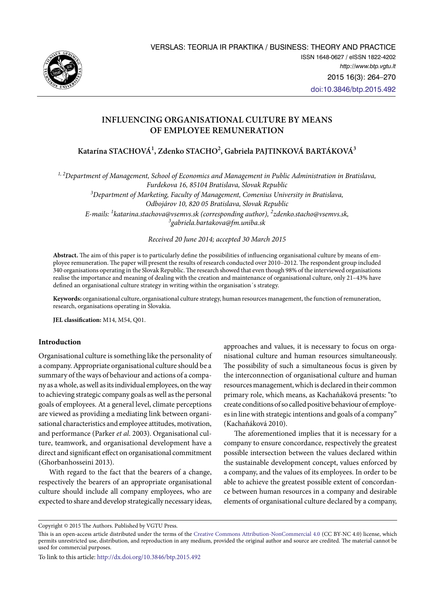

# **INFLUENCING ORGANISATIONAL CULTURE BY MEANS OF EMPLOYEE REMUNERATION**

**Katarína STACHOVÁ1 , Zdenko STACHO2 , Gabriela PAJTINKOVÁ BARTÁKOVÁ3**

*1, 2Department of Management, School of Economics and Management in Public Administration in Bratislava, Furdekova 16, 85104 Bratislava, Slovak Republic* 

*3 Department of Marketing, Faculty of Management, Comenius University in Bratislava, Odbojárov 10, 820 05 Bratislava, Slovak Republic E-mails: 1 [katarina.stachova@vsemvs.sk](mailto:katarina.stachova@vsemvs.sk) (corresponding author), 2 [zdenko.stacho@vsemvs.sk](mailto:zdenko.stacho@vsemvs.sk), 3 [gabriela.bartakova@fm.uniba.sk](mailto:gabriela.bartakova@fm.uniba.sk)*

*Received 20 June 2014; accepted 30 March 2015*

**Abstract.** The aim of this paper is to particularly define the possibilities of influencing organisational culture by means of employee remuneration. The paper will present the results of research conducted over 2010–2012. The respondent group included 340 organisations operating in the Slovak Republic. The research showed that even though 98% of the interviewed organisations realise the importance and meaning of dealing with the creation and maintenance of organisational culture, only 21–43% have defined an organisational culture strategy in writing within the organisation´s strategy.

**Keywords:** organisational culture, organisational culture strategy, human resources management, the function of remuneration, research, organisations operating in Slovakia.

**JEL classification:** M14, M54, Q01.

### **Introduction**

Organisational culture is something like the personality of a company. Appropriate organisational culture should be a summary of the ways of behaviour and actions of a company as a whole, as well as its individual employees, on the way to achieving strategic company goals as well as the personal goals of employees. At a general level, climate perceptions are viewed as providing a mediating link between organisational characteristics and employee attitudes, motivation, and performance (Parker *et al.* 2003). Organisational culture, teamwork, and organisational development have a direct and significant effect on organisational commitment (Ghorbanhosseini 2013).

With regard to the fact that the bearers of a change, respectively the bearers of an appropriate organisational culture should include all company employees, who are expected to share and develop strategically necessary ideas,

approaches and values, it is necessary to focus on organisational culture and human resources simultaneously. The possibility of such a simultaneous focus is given by the interconnection of organisational culture and human resources management, which is declared in their common primary role, which means, as Kachaňáková presents: "to create conditions of so called positive behaviour of employees in line with strategic intentions and goals of a company" (Kachaňáková 2010).

The aforementioned implies that it is necessary for a company to ensure concordance, respectively the greatest possible intersection between the values declared within the sustainable development concept, values enforced by a company, and the values of its employees. In order to be able to achieve the greatest possible extent of concordance between human resources in a company and desirable elements of organisational culture declared by a company,

Copyright © 2015 The Authors. Published by VGTU Press.

This is an open-access article distributed under the terms of the [Creative Commons Attribution-NonCommercial 4.0](http://creativecommons.org/licenses/by-nc/4.0/) (CC BY-NC 4.0) license, which permits unrestricted use, distribution, and reproduction in any medium, provided the original author and source are credited. The material cannot be used for commercial purposes.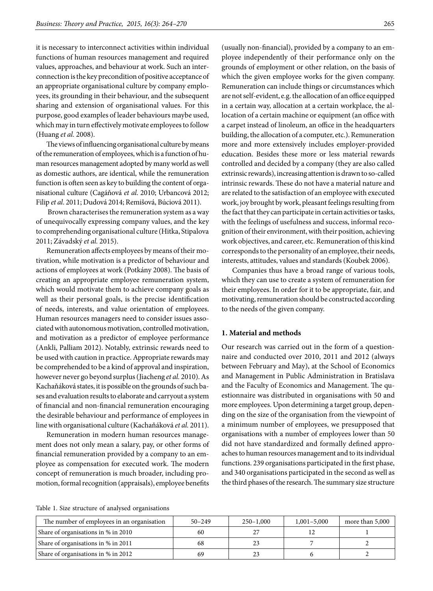it is necessary to interconnect activities within individual functions of human resources management and required values, approaches, and behaviour at work. Such an interconnection is the key precondition of positive acceptance of an appropriate organisational culture by company employees, its grounding in their behaviour, and the subsequent sharing and extension of organisational values. For this purpose, good examples of leader behaviours maybe used, which may in turn effectively motivate employees to follow (Huang *et al.* 2008).

The views of influencing organisational culture by means of the remuneration of employees, which is a function of human resources management adopted by many world as well as domestic authors, are identical, while the remuneration function is often seen as key to building the content of organisational culture (Cagáňová *et al*. 2010; Urbancová 2012; Filip *et al*. 2011; Dudová 2014; Remišová, Búciová 2011).

 Brown characterises the remuneration system as a way of unequivocally expressing company values, and the key to comprehending organisational culture (Hitka, Stipalova 2011; Závadský *et al.* 2015).

Remuneration affects employees by means of their motivation, while motivation is a predictor of behaviour and actions of employees at work (Potkány 2008). The basis of creating an appropriate employee remuneration system, which would motivate them to achieve company goals as well as their personal goals, is the precise identification of needs, interests, and value orientation of employees. Human resources managers need to consider issues associated with autonomous motivation, controlled motivation, and motivation as a predictor of employee performance (Ankli, Palliam 2012). Notably, extrinsic rewards need to be used with caution in practice. Appropriate rewards may be comprehended to be a kind of approval and inspiration, however never go beyond surplus (Jiacheng *et al.* 2010). As Kachaňáková states, it is possible on the grounds of such bases and evaluation results to elaborate and carryout a system of financial and non-financial remuneration encouraging the desirable behaviour and performance of employees in line with organisational culture (Kachaňáková *et al.* 2011).

Remuneration in modern human resources management does not only mean a salary, pay, or other forms of financial remuneration provided by a company to an employee as compensation for executed work. The modern concept of remuneration is much broader, including promotion, formal recognition (appraisals), employee benefits

(usually non-financial), provided by a company to an employee independently of their performance only on the grounds of employment or other relation, on the basis of which the given employee works for the given company. Remuneration can include things or circumstances which are not self-evident, e.g. the allocation of an office equipped in a certain way, allocation at a certain workplace, the allocation of a certain machine or equipment (an office with a carpet instead of linoleum, an office in the headquarters building, the allocation of a computer, etc.). Remuneration more and more extensively includes employer-provided education. Besides these more or less material rewards controlled and decided by a company (they are also called extrinsic rewards), increasing attention is drawn to so-called intrinsic rewards. These do not have a material nature and are related to the satisfaction of an employee with executed work, joy brought by work, pleasant feelings resulting from the fact that they can participate in certain activities or tasks, with the feelings of usefulness and success, informal recognition of their environment, with their position, achieving work objectives, and career, etc. Remuneration of this kind corresponds to the personality of an employee, their needs, interests, attitudes, values and standards (Koubek 2006).

Companies thus have a broad range of various tools, which they can use to create a system of remuneration for their employees. In order for it to be appropriate, fair, and motivating, remuneration should be constructed according to the needs of the given company.

#### **1. Material and methods**

Our research was carried out in the form of a questionnaire and conducted over 2010, 2011 and 2012 (always between February and May), at the School of Economics and Management in Public Administration in Bratislava and the Faculty of Economics and Management. The questionnaire was distributed in organisations with 50 and more employees. Upon determining a target group, depending on the size of the organisation from the viewpoint of a minimum number of employees, we presupposed that organisations with a number of employees lower than 50 did not have standardized and formally defined approaches to human resources management and to its individual functions. 239 organisations participated in the first phase, and 340 organisations participated in the second as well as the third phases of the research. The summary size structure

|  |  |  |  |  |  | Table 1. Size structure of analysed organisations |
|--|--|--|--|--|--|---------------------------------------------------|
|--|--|--|--|--|--|---------------------------------------------------|

| The number of employees in an organisation | $50 - 249$ | $250 - 1,000$ | $1,001 - 5,000$ | more than 5,000 |
|--------------------------------------------|------------|---------------|-----------------|-----------------|
| Share of organisations in % in 2010        | 60         |               |                 |                 |
| Share of organisations in % in 2011        | 68         |               |                 |                 |
| Share of organisations in % in 2012        | 69         |               |                 |                 |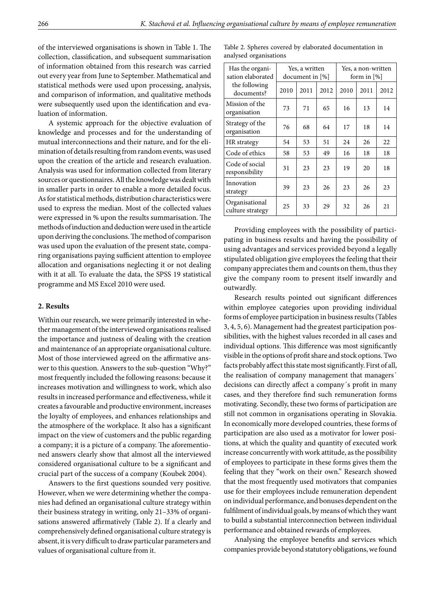of the interviewed organisations is shown in Table 1. The collection, classification, and subsequent summarisation of information obtained from this research was carried out every year from June to September. Mathematical and statistical methods were used upon processing, analysis, and comparison of information, and qualitative methods were subsequently used upon the identification and evaluation of information.

A systemic approach for the objective evaluation of knowledge and processes and for the understanding of mutual interconnections and their nature, and for the elimination of details resulting from random events, was used upon the creation of the article and research evaluation. Analysis was used for information collected from literary sources or questionnaires. All the knowledge was dealt with in smaller parts in order to enable a more detailed focus. As for statistical methods, distribution characteristics were used to express the median. Most of the collected values were expressed in % upon the results summarisation. The methods of induction and deduction were used in the article upon deriving the conclusions. The method of comparison was used upon the evaluation of the present state, comparing organisations paying sufficient attention to employee allocation and organisations neglecting it or not dealing with it at all. To evaluate the data, the SPSS 19 statistical programme and MS Excel 2010 were used.

### **2. Results**

Within our research, we were primarily interested in whether management of the interviewed organisations realised the importance and justness of dealing with the creation and maintenance of an appropriate organisational culture. Most of those interviewed agreed on the affirmative answer to this question. Answers to the sub-question "Why?" most frequently included the following reasons: because it increases motivation and willingness to work, which also results in increased performance and effectiveness, while it creates a favourable and productive environment, increases the loyalty of employees, and enhances relationships and the atmosphere of the workplace. It also has a significant impact on the view of customers and the public regarding a company; it is a picture of a company. The aforementioned answers clearly show that almost all the interviewed considered organisational culture to be a significant and crucial part of the success of a company (Koubek 2004).

Answers to the first questions sounded very positive. However, when we were determining whether the companies had defined an organisational culture strategy within their business strategy in writing, only 21–33% of organisations answered affirmatively (Table 2). If a clearly and comprehensively defined organisational culture strategy is absent, it is very difficult to draw particular parameters and values of organisational culture from it.

Table 2. Spheres covered by elaborated documentation in analysed organisations

| Has the organi-<br>sation elaborated | Yes, a written<br>document in [%] |      |      | Yes, a non-written<br>form in $[\%]$ |      |      |
|--------------------------------------|-----------------------------------|------|------|--------------------------------------|------|------|
| the following<br>documents?          | 2010                              | 2011 | 2012 | 2010                                 | 2011 | 2012 |
| Mission of the<br>organisation       | 73                                | 71   | 65   | 16                                   | 13   | 14   |
| Strategy of the<br>organisation      | 76                                | 68   | 64   | 17                                   | 18   | 14   |
| HR strategy                          | 54                                | 53   | 51   | 24                                   | 26   | 22   |
| Code of ethics                       | 58                                | 53   | 49   | 16                                   | 18   | 18   |
| Code of social<br>responsibility     | 31                                | 23   | 23   | 19                                   | 20   | 18   |
| Innovation<br>strategy               | 39                                | 23   | 26   | 23                                   | 26   | 23   |
| Organisational<br>culture strategy   | 25                                | 33   | 29   | 32                                   | 26   | 21   |

Providing employees with the possibility of participating in business results and having the possibility of using advantages and services provided beyond a legally stipulated obligation give employees the feeling that their company appreciates them and counts on them, thus they give the company room to present itself inwardly and outwardly.

Research results pointed out significant differences within employee categories upon providing individual forms of employee participation in business results (Tables 3, 4, 5, 6). Management had the greatest participation possibilities, with the highest values recorded in all cases and individual options. This difference was most significantly visible in the options of profit share and stock options. Two facts probably affect this state most significantly. First of all, the realisation of company management that managers´ decisions can directly affect a company´s profit in many cases, and they therefore find such remuneration forms motivating. Secondly, these two forms of participation are still not common in organisations operating in Slovakia. In economically more developed countries, these forms of participation are also used as a motivator for lower positions, at which the quality and quantity of executed work increase concurrently with work attitude, as the possibility of employees to participate in these forms gives them the feeling that they "work on their own." Research showed that the most frequently used motivators that companies use for their employees include remuneration dependent on individual performance, and bonuses dependent on the fulfilment of individual goals, by means of which they want to build a substantial interconnection between individual performance and obtained rewards of employees.

Analysing the employee benefits and services which companies provide beyond statutory obligations, we found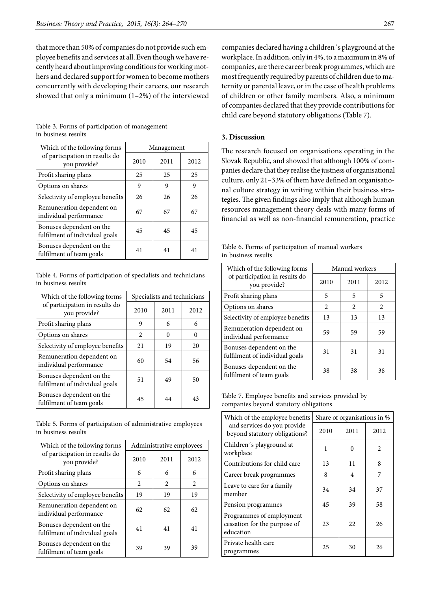that more than 50% of companies do not provide such employee benefits and services at all. Even though we have recently heard about improving conditions for working mothers and declared support for women to become mothers concurrently with developing their careers, our research showed that only a minimum (1–2%) of the interviewed

Table 3. Forms of participation of management in business results

| Which of the following forms                               | Management |      |      |  |
|------------------------------------------------------------|------------|------|------|--|
| of participation in results do<br>you provide?             | 2010       | 2011 | 2012 |  |
| Profit sharing plans                                       | 25         | 25   | 25   |  |
| Options on shares                                          | 9          | 9    | 9    |  |
| Selectivity of employee benefits                           | 26         | 26   | 26   |  |
| Remuneration dependent on<br>individual performance        | 67         | 67   | 67   |  |
| Bonuses dependent on the<br>fulfilment of individual goals | 45         | 45   | 45   |  |
| Bonuses dependent on the<br>fulfilment of team goals       | 41         | 41   | 41   |  |

Table 4. Forms of participation of specialists and technicians in business results

| Which of the following forms                               | Specialists and technicians |          |      |  |
|------------------------------------------------------------|-----------------------------|----------|------|--|
| of participation in results do<br>you provide?             | 2010                        | 2011     | 2012 |  |
| Profit sharing plans                                       | 9                           | 6        | 6    |  |
| Options on shares                                          | 2                           | $\Omega$ | 0    |  |
| Selectivity of employee benefits                           | 21                          | 19       | 20   |  |
| Remuneration dependent on<br>individual performance        | 60                          | 54       | 56   |  |
| Bonuses dependent on the<br>fulfilment of individual goals | 51                          | 49       | 50   |  |
| Bonuses dependent on the<br>fulfilment of team goals       | 45                          | 44       | 43   |  |

Table 5. Forms of participation of administrative employees in business results

| Which of the following forms                               | Administrative employees |      |      |  |
|------------------------------------------------------------|--------------------------|------|------|--|
| of participation in results do<br>you provide?             | 2010                     | 2011 | 2012 |  |
| Profit sharing plans                                       | 6                        | 6    | 6    |  |
| Options on shares                                          | 2                        | 2    | 2    |  |
| Selectivity of employee benefits                           | 19                       | 19   | 19   |  |
| Remuneration dependent on<br>individual performance        | 62                       | 62   | 62   |  |
| Bonuses dependent on the<br>fulfilment of individual goals | 41                       | 41   | 41   |  |
| Bonuses dependent on the<br>fulfilment of team goals       | 39                       | 39   | 39   |  |

companies declared having a children´s playground at the workplace. In addition, only in 4%, to a maximum in 8% of companies, are there career break programmes, which are most frequently required by parents of children due to maternity or parental leave, or in the case of health problems of children or other family members. Also, a minimum of companies declared that they provide contributions for child care beyond statutory obligations (Table 7).

#### **3. Discussion**

The research focused on organisations operating in the Slovak Republic, and showed that although 100% of companies declare that they realise the justness of organisational culture, only 21–33% of them have defined an organisational culture strategy in writing within their business strategies. The given findings also imply that although human resources management theory deals with many forms of financial as well as non-financial remuneration, practice

|                     | Table 6. Forms of participation of manual workers |  |
|---------------------|---------------------------------------------------|--|
| in business results |                                                   |  |

| Which of the following forms                               | Manual workers |      |      |  |
|------------------------------------------------------------|----------------|------|------|--|
| of participation in results do<br>you provide?             | 2010           | 2011 | 2012 |  |
| Profit sharing plans                                       | 5              | 5    | 5    |  |
| Options on shares                                          | 2              | 2    | 2    |  |
| Selectivity of employee benefits                           | 13             | 13   | 13   |  |
| Remuneration dependent on<br>individual performance        | 59             | 59   | 59   |  |
| Bonuses dependent on the<br>fulfilment of individual goals | 31             | 31   | 31   |  |
| Bonuses dependent on the<br>fulfilment of team goals       | 38             | 38   | 38   |  |

Table 7. Employee benefits and services provided by companies beyond statutory obligations

| Which of the employee benefits                                        | Share of organisations in % |      |                |  |
|-----------------------------------------------------------------------|-----------------------------|------|----------------|--|
| and services do you provide<br>beyond statutory obligations?          | 2010                        | 2011 | 2012           |  |
| Children's playground at<br>workplace                                 | 1                           | 0    | $\mathfrak{D}$ |  |
| Contributions for child care                                          | 13                          | 11   | 8              |  |
| Career break programmes                                               | 8                           | 4    | 7              |  |
| Leave to care for a family<br>member                                  | 34                          | 34   | 37             |  |
| Pension programmes                                                    | 45                          | 39   | 58             |  |
| Programmes of employment<br>cessation for the purpose of<br>education | 23                          | 22   | 26             |  |
| Private health care<br>programmes                                     | 25                          | 30   | 26             |  |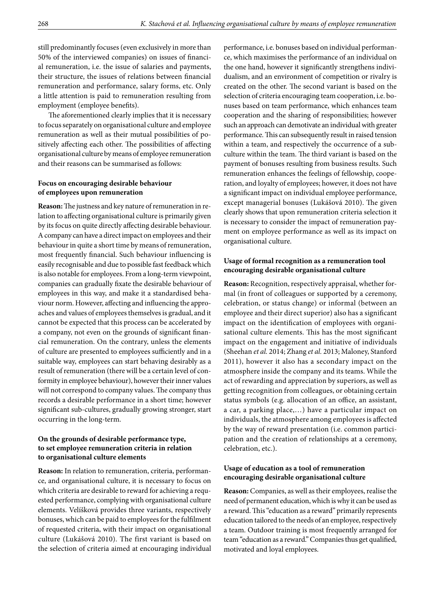still predominantly focuses (even exclusively in more than 50% of the interviewed companies) on issues of financial remuneration, i.e. the issue of salaries and payments, their structure, the issues of relations between financial remuneration and performance, salary forms, etc. Only a little attention is paid to remuneration resulting from employment (employee benefits).

The aforementioned clearly implies that it is necessary to focus separately on organisational culture and employee remuneration as well as their mutual possibilities of positively affecting each other. The possibilities of affecting organisational culture by means of employee remuneration and their reasons can be summarised as follows:

# **Focus on encouraging desirable behaviour of employees upon remuneration**

**Reason:** The justness and key nature of remuneration in relation to affecting organisational culture is primarily given by its focus on quite directly affecting desirable behaviour. A company can have a direct impact on employees and their behaviour in quite a short time by means of remuneration, most frequently financial. Such behaviour influencing is easily recognisable and due to possible fast feedback which is also notable for employees. From a long-term viewpoint, companies can gradually fixate the desirable behaviour of employees in this way, and make it a standardised behaviour norm. However, affecting and influencing the approaches and values of employees themselves is gradual, and it cannot be expected that this process can be accelerated by a company, not even on the grounds of significant financial remuneration. On the contrary, unless the elements of culture are presented to employees sufficiently and in a suitable way, employees can start behaving desirably as a result of remuneration (there will be a certain level of conformity in employee behaviour), however their inner values will not correspond to company values. The company thus records a desirable performance in a short time; however significant sub-cultures, gradually growing stronger, start occurring in the long-term.

# **On the grounds of desirable performance type, to set employee remuneration criteria in relation to organisational culture elements**

**Reason:** In relation to remuneration, criteria, performance, and organisational culture, it is necessary to focus on which criteria are desirable to reward for achieving a requested performance, complying with organisational culture elements. Velíšková provides three variants, respectively bonuses, which can be paid to employees for the fulfilment of requested criteria, with their impact on organisational culture (Lukášová 2010). The first variant is based on the selection of criteria aimed at encouraging individual performance, i.e. bonuses based on individual performance, which maximises the performance of an individual on the one hand, however it significantly strengthens individualism, and an environment of competition or rivalry is created on the other. The second variant is based on the selection of criteria encouraging team cooperation, i.e. bonuses based on team performance, which enhances team cooperation and the sharing of responsibilities; however such an approach can demotivate an individual with greater performance. This can subsequently result in raised tension within a team, and respectively the occurrence of a subculture within the team. The third variant is based on the payment of bonuses resulting from business results. Such remuneration enhances the feelings of fellowship, cooperation, and loyalty of employees; however, it does not have a significant impact on individual employee performance, except managerial bonuses (Lukášová 2010). The given clearly shows that upon remuneration criteria selection it is necessary to consider the impact of remuneration payment on employee performance as well as its impact on organisational culture.

### **Usage of formal recognition as a remuneration tool encouraging desirable organisational culture**

**Reason:** Recognition, respectively appraisal, whether formal (in front of colleagues or supported by a ceremony, celebration, or status change) or informal (between an employee and their direct superior) also has a significant impact on the identification of employees with organisational culture elements. This has the most significant impact on the engagement and initiative of individuals ([Sheehan](http://ezproxy.cvtisr.sk:2060/authid/detail.url?origin=resultslist&authorId=7102755899&zone=) *et al.* 2014; [Zhang](http://ezproxy.cvtisr.sk:2060/authid/detail.url?origin=resultslist&authorId=12762863800&zone=) *et al.* 2013; [Maloney,](http://ezproxy.cvtisr.sk:2060/authid/detail.url?origin=resultslist&authorId=38663213700&zone=) [Stanford](http://ezproxy.cvtisr.sk:2060/authid/detail.url?origin=resultslist&authorId=38663402900&zone=)  2011), however it also has a secondary impact on the atmosphere inside the company and its teams. While the act of rewarding and appreciation by superiors, as well as getting recognition from colleagues, or obtaining certain status symbols (e.g. allocation of an office, an assistant, a car, a parking place,…) have a particular impact on individuals, the atmosphere among employees is affected by the way of reward presentation (i.e. common participation and the creation of relationships at a ceremony, celebration, etc.).

# **Usage of education as a tool of remuneration encouraging desirable organisational culture**

**Reason:** Companies, as well as their employees, realise the need of permanent education, which is why it can be used as a reward. This "education as a reward" primarily represents education tailored to the needs of an employee, respectively a team. Outdoor training is most frequently arranged for team "education as a reward." Companies thus get qualified, motivated and loyal employees.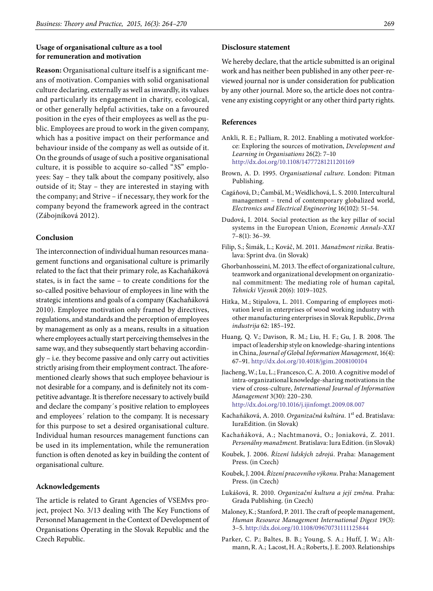### **Usage of organisational culture as a tool for remuneration and motivation**

**Reason:** Organisational culture itself is a significant means of motivation. Companies with solid organisational culture declaring, externally as well as inwardly, its values and particularly its engagement in charity, ecological, or other generally helpful activities, take on a favoured position in the eyes of their employees as well as the public. Employees are proud to work in the given company, which has a positive impact on their performance and behaviour inside of the company as well as outside of it. On the grounds of usage of such a positive organisational culture, it is possible to acquire so-called "3S" employees: Say – they talk about the company positively, also outside of it; Stay – they are interested in staying with the company; and Strive – if necessary, they work for the company beyond the framework agreed in the contract (Zábojníková 2012).

#### **Conclusion**

The interconnection of individual human resources management functions and organisational culture is primarily related to the fact that their primary role, as Kachaňáková states, is in fact the same – to create conditions for the so-called positive behaviour of employees in line with the strategic intentions and goals of a company (Kachaňáková 2010). Employee motivation only framed by directives, regulations, and standards and the perception of employees by management as only as a means, results in a situation where employees actually start perceiving themselves in the same way, and they subsequently start behaving accordingly – i.e. they become passive and only carry out activities strictly arising from their employment contract. The aforementioned clearly shows that such employee behaviour is not desirable for a company, and is definitely not its competitive advantage. It is therefore necessary to actively build and declare the company´s positive relation to employees and employees´ relation to the company. It is necessary for this purpose to set a desired organisational culture. Individual human resources management functions can be used in its implementation, while the remuneration function is often denoted as key in building the content of organisational culture.

#### **Acknowledgements**

The article is related to Grant Agencies of VSEMvs project, project No. 3/13 dealing with The Key Functions of Personnel Management in the Context of Development of Organisations Operating in the Slovak Republic and the Czech Republic.

### **Disclosure statement**

We hereby declare, that the article submitted is an original work and has neither been published in any other peer-reviewed journal nor is under consideration for publication by any other journal. More so, the article does not contravene any existing copyright or any other third party rights.

#### **References**

- [Ankli, R. E.](http://ezproxy.cvtisr.sk:2060/authid/detail.url?origin=resultslist&authorId=54969323100&zone=); [Palliam, R.](http://ezproxy.cvtisr.sk:2060/authid/detail.url?origin=resultslist&authorId=54967034500&zone=) 2012. [Enabling a motivated workfor](http://ezproxy.cvtisr.sk:2060/record/display.url?eid=2-s2.0-84856786015&origin=resultslist&sort=plf-f&src=s&st1=organizational+culture%2c+motivation%2c+intrinsic+and+extrinsic+rewards&sid=DF272C4B915131F80418FC1A6CE425EE.I0QkgbIjGqqLQ4Nw7dqZ4A%3a20&sot=b&sdt=b&sl=82&s=TITLE-ABS-KEY%28organizational+culture%2c+motivation%2c+intrinsic+and+extrinsic+rewards%29&relpos=0&relpos=0&citeCnt=1&searchTerm=TITLE-ABS-KEY%28organizational+culture%2C+motivation%2C+intrinsic+and+extrinsic+rewards%29)[ce: Exploring the sources of motivation](http://ezproxy.cvtisr.sk:2060/record/display.url?eid=2-s2.0-84856786015&origin=resultslist&sort=plf-f&src=s&st1=organizational+culture%2c+motivation%2c+intrinsic+and+extrinsic+rewards&sid=DF272C4B915131F80418FC1A6CE425EE.I0QkgbIjGqqLQ4Nw7dqZ4A%3a20&sot=b&sdt=b&sl=82&s=TITLE-ABS-KEY%28organizational+culture%2c+motivation%2c+intrinsic+and+extrinsic+rewards%29&relpos=0&relpos=0&citeCnt=1&searchTerm=TITLE-ABS-KEY%28organizational+culture%2C+motivation%2C+intrinsic+and+extrinsic+rewards%29), *[Development and](http://ezproxy.cvtisr.sk:2060/source/sourceInfo.url?sourceId=145292&origin=resultslist) [Learning in Organisations](http://ezproxy.cvtisr.sk:2060/source/sourceInfo.url?sourceId=145292&origin=resultslist)* 26(2): 7–10 <http://dx.doi.org/10.1108/14777281211201169>
- Brown, A. D. 1995. *Organisational culture.* London: Pitman Publishing.
- Cagáňová, D.; Čambál, M.; Weidlichová, L. S. 2010. Intercultural management – trend of contemporary globalized world, *Electronics and Electrical Engineering* 16(102): 51–54.
- Dudová, I. 2014. Social protection as the key pillar of social systems in the European Union, *Economic Annals*-*XXI* 7–8(1): 36–39.
- Filip, S.; Šimák, L.; Kováč, M. 2011. *Manažment rizika*. Bratislava: Sprint dva. (in Slovak)
- [Ghorbanhosseini, M.](http://ezproxy.cvtisr.sk:2060/authid/detail.url?origin=resultslist&authorId=55974863300&zone=) 2013. The effect of organizational culture, teamwork and organizational development on organizational commitment: The mediating role of human capital, *[Tehnicki Vjesnik](http://ezproxy.cvtisr.sk:2060/source/sourceInfo.url?sourceId=14569&origin=resultslist)* 20(6): 1019–1025.
- Hitka, M.; Stipalova, L. 2011. Comparing of employees motivation level in enterprises of wood working industry with other manufacturing enterprises in Slovak Republic, *Drvna industrija* 62: 185–192.
- Huang*,* Q. V.; Davison*,* R. M.; Liu*,* H. F.; Gu*,* J. B*.* 2008. The impact of leadership style on knowledge-sharing intentions in China, *Journal of Global Information Management*, 16(4): 67–91. <http://dx.doi.org/10.4018/jgim.2008100104>
- Jiacheng, W.; Lu, L.; Francesco, C. A. 2010. A cognitive model of intra-organizational knowledge-sharing motivations in the view of cross-culture, *International Journal of Information Management* 3(30): 220–230.
	- <http://dx.doi.org/10.1016/j.ijinfomgt.2009.08.007>
- Kachaňáková, A. 2010. *Organizačná kultúra.* 1st ed. Bratislava: IuraEdition. (in Slovak)
- Kachaňáková, A.; Nachtmanová, O.; Joniaková, Z. 2011. *Personálny manažment.* Bratislava: Iura Edition. (in Slovak)
- Koubek, J. 2006. *Řízení lidských zdrojú*. Praha: Management Press. (in Czech)
- Koubek, J. 2004. *Řízení pracovního výkonu*. Praha: Management Press. (in Czech)
- Lukášová, R. 2010. *Organizační kultura a její změna.* Praha: Grada Publishing. (in Czech)
- [Maloney, K.](http://ezproxy.cvtisr.sk:2060/authid/detail.url?origin=resultslist&authorId=38663213700&zone=); [Stanford, P.](http://ezproxy.cvtisr.sk:2060/authid/detail.url?origin=resultslist&authorId=38663402900&zone=) 2011. [The craft of people management,](http://ezproxy.cvtisr.sk:2060/record/display.url?eid=2-s2.0-79957655552&origin=resultslist&sort=plf-f&src=s&st1=Recognition%2c+engagement%2c+motivation&nlo=&nlr=&nls=&sid=741F5CD990344DAE7ECB669825AC7872.aXczxbyuHHiXgaIW6Ho7g%3a860&sot=b&sdt=cl&cluster=scosubjabbr%2c%22SOCI%22%2ct%2c%22BUSI%22%2ct%2c%22SOCI%22%2ct%2c%22BUSI%22%2ct%2c%22AGRI%22%2ct%2c%22AGRI%22%2ct&sl=50&s=TITLE-ABS-KEY%28Recognition%2c+engagement%2c+motivation%29&relpos=15&relpos=15&citeCnt=1&searchTerm=TITLE-ABS-KEY%28Recognition%2C+engagement%2C+motivation%29+AND+%28+LIMIT-TO%28SUBJAREA%2C%5C%26quot%3BSOCI%5C%26quot%3B+%29+OR+LIMIT-TO%28SUBJAREA%2C%5C%26quot%3BBUSI%5C%26quot%3B+%29+OR+LIMIT-TO%28SUBJAREA%2C%5C%26quot%3BSOCI%5C%26quot%3B+%29+OR+LIMIT-TO%28SUBJAREA%2C%5C%26quot%3BBUSI%5C%26quot%3B+%29+OR+LIMIT-TO%28SUBJAREA%2C%5C%26quot%3BAGRI%5C%26quot%3B+%29+OR+LIMIT-TO%28SUBJAREA%2C%5C%26quot%3BAGRI%5C%26quot%3B+%29+%29+) *[Human Resource Management International Digest](http://ezproxy.cvtisr.sk:2060/source/sourceInfo.url?sourceId=144743&origin=resultslist)* 19(3): 3–5. <http://dx.doi.org/10.1108/09670731111125844>
- [Parker, C. P.](http://ezproxy.cvtisr.sk:2060/authid/detail.url?authorId=7402174855&eid=2-s2.0-0038515376);  [Baltes, B. B.;](http://ezproxy.cvtisr.sk:2060/authid/detail.url?authorId=6603946465&eid=2-s2.0-0038515376)  [Young, S. A.](http://ezproxy.cvtisr.sk:2060/authid/detail.url?authorId=22959358400&eid=2-s2.0-0038515376);  [Huff, J. W.;](http://ezproxy.cvtisr.sk:2060/authid/detail.url?authorId=7201685201&eid=2-s2.0-0038515376) [Alt](http://ezproxy.cvtisr.sk:2060/authid/detail.url?authorId=7003783505&eid=2-s2.0-0038515376)[mann, R. A.](http://ezproxy.cvtisr.sk:2060/authid/detail.url?authorId=7003783505&eid=2-s2.0-0038515376);  [Lacost, H. A.](http://ezproxy.cvtisr.sk:2060/authid/detail.url?authorId=8786233900&eid=2-s2.0-0038515376); [Roberts, J. E.](http://ezproxy.cvtisr.sk:2060/authid/detail.url?authorId=7410325122&eid=2-s2.0-0038515376) 2003. Relationships